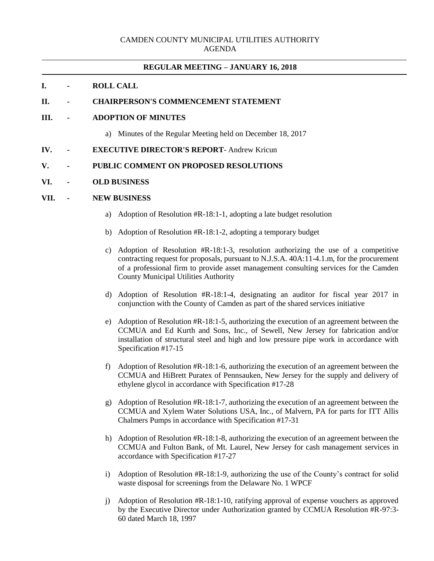#### **REGULAR MEETING – JANUARY 16, 2018**

### **I. - ROLL CALL**

#### **II. - CHAIRPERSON'S COMMENCEMENT STATEMENT**

#### **III. - ADOPTION OF MINUTES**

- a) Minutes of the Regular Meeting held on December 18, 2017
- **IV. - EXECUTIVE DIRECTOR'S REPORT** Andrew Kricun

#### **V. - PUBLIC COMMENT ON PROPOSED RESOLUTIONS**

#### **VI. - OLD BUSINESS**

#### **VII. - NEW BUSINESS**

- a) Adoption of Resolution #R-18:1-1, adopting a late budget resolution
- b) Adoption of Resolution #R-18:1-2, adopting a temporary budget
- c) Adoption of Resolution #R-18:1-3, resolution authorizing the use of a competitive contracting request for proposals, pursuant to N.J.S.A. 40A:11-4.1.m, for the procurement of a professional firm to provide asset management consulting services for the Camden County Municipal Utilities Authority
- d) Adoption of Resolution #R-18:1-4, designating an auditor for fiscal year 2017 in conjunction with the County of Camden as part of the shared services initiative
- e) Adoption of Resolution #R-18:1-5, authorizing the execution of an agreement between the CCMUA and Ed Kurth and Sons, Inc., of Sewell, New Jersey for fabrication and/or installation of structural steel and high and low pressure pipe work in accordance with Specification #17-15
- f) Adoption of Resolution #R-18:1-6, authorizing the execution of an agreement between the CCMUA and HiBrett Puratex of Pennsauken, New Jersey for the supply and delivery of ethylene glycol in accordance with Specification #17-28
- g) Adoption of Resolution #R-18:1-7, authorizing the execution of an agreement between the CCMUA and Xylem Water Solutions USA, Inc., of Malvern, PA for parts for ITT Allis Chalmers Pumps in accordance with Specification #17-31
- h) Adoption of Resolution #R-18:1-8, authorizing the execution of an agreement between the CCMUA and Fulton Bank, of Mt. Laurel, New Jersey for cash management services in accordance with Specification #17-27
- i) Adoption of Resolution #R-18:1-9, authorizing the use of the County's contract for solid waste disposal for screenings from the Delaware No. 1 WPCF
- j) Adoption of Resolution #R-18:1-10, ratifying approval of expense vouchers as approved by the Executive Director under Authorization granted by CCMUA Resolution #R-97:3- 60 dated March 18, 1997